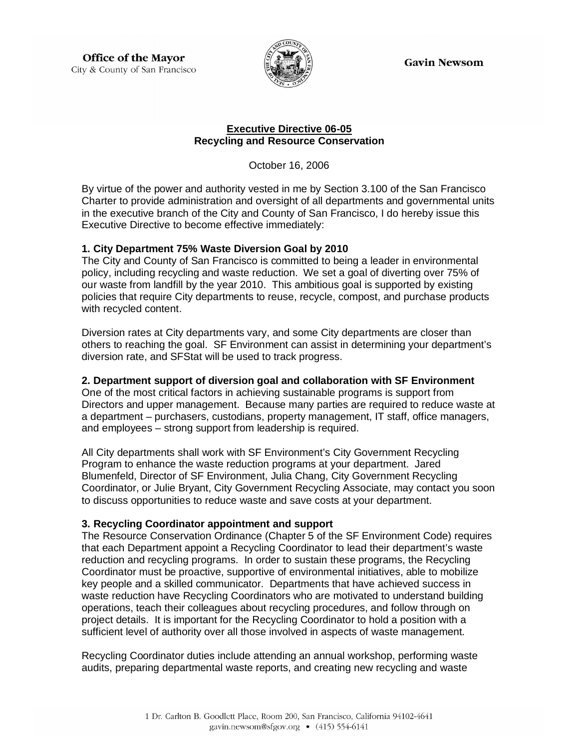**Gavin Newsom** 

**Office of the Mayor** City & County of San Francisco



#### **Executive Directive 06-05 Recycling and Resource Conservation**

October 16, 2006

By virtue of the power and authority vested in me by Section 3.100 of the San Francisco Charter to provide administration and oversight of all departments and governmental units in the executive branch of the City and County of San Francisco, I do hereby issue this Executive Directive to become effective immediately:

### **1. City Department 75% Waste Diversion Goal by 2010**

The City and County of San Francisco is committed to being a leader in environmental policy, including recycling and waste reduction. We set a goal of diverting over 75% of our waste from landfill by the year 2010. This ambitious goal is supported by existing policies that require City departments to reuse, recycle, compost, and purchase products with recycled content.

Diversion rates at City departments vary, and some City departments are closer than others to reaching the goal. SF Environment can assist in determining your department's diversion rate, and SFStat will be used to track progress.

# **2. Department support of diversion goal and collaboration with SF Environment**

One of the most critical factors in achieving sustainable programs is support from Directors and upper management. Because many parties are required to reduce waste at a department – purchasers, custodians, property management, IT staff, office managers, and employees – strong support from leadership is required.

All City departments shall work with SF Environment's City Government Recycling Program to enhance the waste reduction programs at your department. Jared Blumenfeld, Director of SF Environment, Julia Chang, City Government Recycling Coordinator, or Julie Bryant, City Government Recycling Associate, may contact you soon to discuss opportunities to reduce waste and save costs at your department.

# **3. Recycling Coordinator appointment and support**

The Resource Conservation Ordinance (Chapter 5 of the SF Environment Code) requires that each Department appoint a Recycling Coordinator to lead their department's waste reduction and recycling programs. In order to sustain these programs, the Recycling Coordinator must be proactive, supportive of environmental initiatives, able to mobilize key people and a skilled communicator. Departments that have achieved success in waste reduction have Recycling Coordinators who are motivated to understand building operations, teach their colleagues about recycling procedures, and follow through on project details. It is important for the Recycling Coordinator to hold a position with a sufficient level of authority over all those involved in aspects of waste management.

Recycling Coordinator duties include attending an annual workshop, performing waste audits, preparing departmental waste reports, and creating new recycling and waste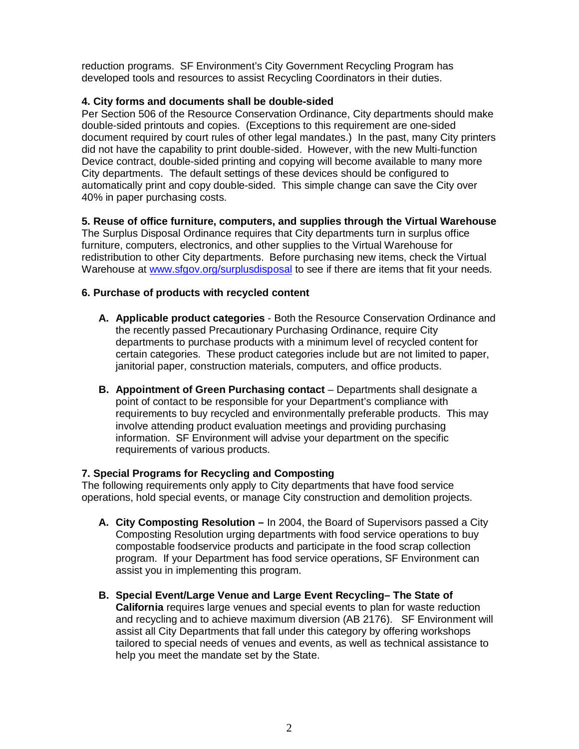reduction programs. SF Environment's City Government Recycling Program has developed tools and resources to assist Recycling Coordinators in their duties.

### **4. City forms and documents shall be double-sided**

Per Section 506 of the Resource Conservation Ordinance, City departments should make double-sided printouts and copies. (Exceptions to this requirement are one-sided document required by court rules of other legal mandates.) In the past, many City printers did not have the capability to print double-sided. However, with the new Multi-function Device contract, double-sided printing and copying will become available to many more City departments. The default settings of these devices should be configured to automatically print and copy double-sided. This simple change can save the City over 40% in paper purchasing costs.

### **5. Reuse of office furniture, computers, and supplies through the Virtual Warehouse**

The Surplus Disposal Ordinance requires that City departments turn in surplus office furniture, computers, electronics, and other supplies to the Virtual Warehouse for redistribution to other City departments. Before purchasing new items, check the Virtual Warehouse at www.sfgov.org/surplusdisposal to see if there are items that fit your needs.

### **6. Purchase of products with recycled content**

- **A. Applicable product categories** Both the Resource Conservation Ordinance and the recently passed Precautionary Purchasing Ordinance, require City departments to purchase products with a minimum level of recycled content for certain categories. These product categories include but are not limited to paper, ianitorial paper, construction materials, computers, and office products.
- **B. Appointment of Green Purchasing contact** Departments shall designate a point of contact to be responsible for your Department's compliance with requirements to buy recycled and environmentally preferable products. This may involve attending product evaluation meetings and providing purchasing information. SF Environment will advise your department on the specific requirements of various products.

### **7. Special Programs for Recycling and Composting**

The following requirements only apply to City departments that have food service operations, hold special events, or manage City construction and demolition projects.

- **A. City Composting Resolution –** In 2004, the Board of Supervisors passed a City Composting Resolution urging departments with food service operations to buy compostable foodservice products and participate in the food scrap collection program. If your Department has food service operations, SF Environment can assist you in implementing this program.
- **B. Special Event/Large Venue and Large Event Recycling– The State of California** requires large venues and special events to plan for waste reduction and recycling and to achieve maximum diversion (AB 2176). SF Environment will assist all City Departments that fall under this category by offering workshops tailored to special needs of venues and events, as well as technical assistance to help you meet the mandate set by the State.